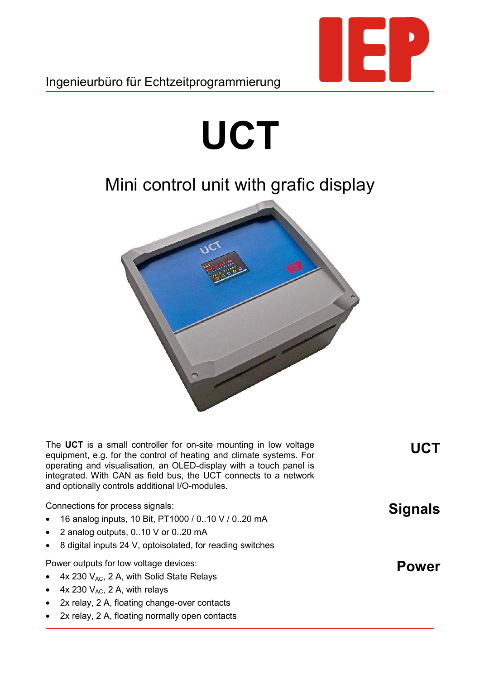

Ingenieurbüro für Echtzeitprogrammierung

## **UCT**

## Mini control unit with grafic display



The **UCT** is a small controller for on-site mounting in low voltage equipment, e.g. for the control of heating and climate systems. For operating and visualisation, an OLED-display with a touch panel is integrated. With CAN as field bus, the UCT connects to a network and optionally controls additional I/O-modules.

Connections for process signals:

- 16 analog inputs, 10 Bit, PT1000 / 0..10 V / 0..20 mA
- 2 analog outputs, 0..10 V or 0..20 mA
- 8 digital inputs 24 V, optoisolated, for reading switches

Power outputs for low voltage devices:

- $4x 230 V<sub>AC</sub>$ , 2 A, with Solid State Relays
- 4x 230  $V_{AC}$ , 2 A, with relays
- 2x relay, 2 A, floating change-over contacts
- 2x relay, 2 A, floating normally open contacts

**Power**

**Signals**

**UCT**